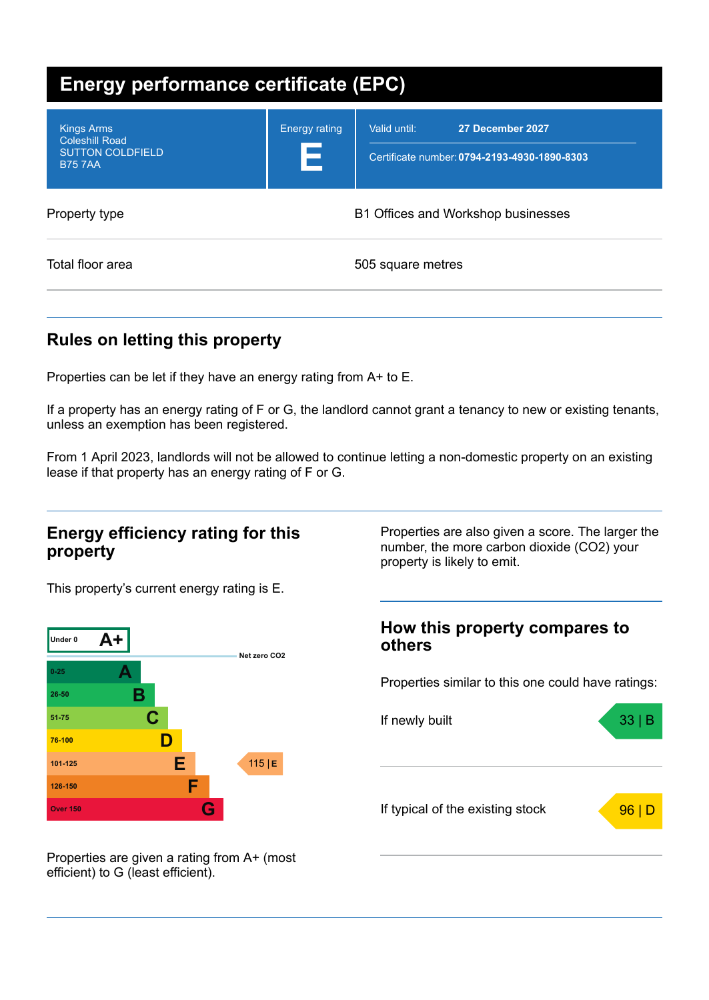| <b>Energy performance certificate (EPC)</b>                                            |                           |                                                                                  |  |
|----------------------------------------------------------------------------------------|---------------------------|----------------------------------------------------------------------------------|--|
| <b>Kings Arms</b><br><b>Coleshill Road</b><br><b>SUTTON COLDFIELD</b><br><b>B757AA</b> | <b>Energy rating</b><br>E | Valid until:<br>27 December 2027<br>Certificate number: 0794-2193-4930-1890-8303 |  |
| Property type                                                                          |                           | B1 Offices and Workshop businesses                                               |  |
| Total floor area                                                                       |                           | 505 square metres                                                                |  |

### **Rules on letting this property**

Properties can be let if they have an energy rating from A+ to E.

If a property has an energy rating of F or G, the landlord cannot grant a tenancy to new or existing tenants, unless an exemption has been registered.

From 1 April 2023, landlords will not be allowed to continue letting a non-domestic property on an existing lease if that property has an energy rating of F or G.

### **Energy efficiency rating for this property**

Properties are also given a score. The larger the number, the more carbon dioxide (CO2) your property is likely to emit.

This property's current energy rating is E.



# **How this property compares to others**

Properties similar to this one could have ratings:



Properties are given a rating from A+ (most efficient) to G (least efficient).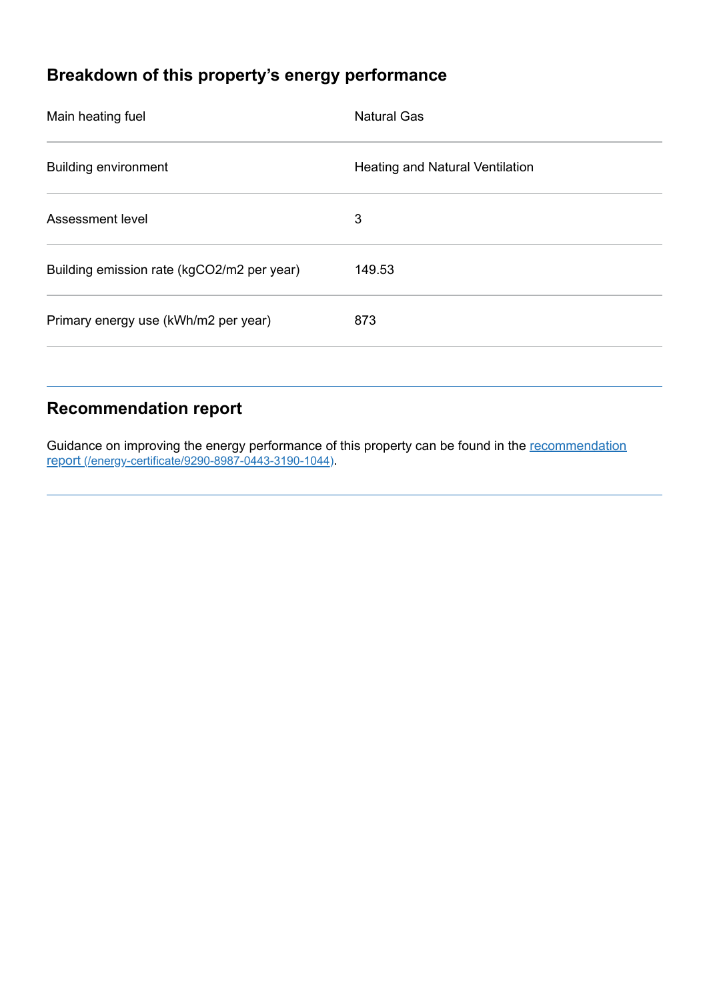## **Breakdown of this property's energy performance**

| Main heating fuel                          | <b>Natural Gas</b>              |
|--------------------------------------------|---------------------------------|
| <b>Building environment</b>                | Heating and Natural Ventilation |
| Assessment level                           | 3                               |
| Building emission rate (kgCO2/m2 per year) | 149.53                          |
| Primary energy use (kWh/m2 per year)       | 873                             |
|                                            |                                 |

## **Recommendation report**

Guidance on improving the energy performance of this property can be found in the recommendation report (/energy-certificate/9290-8987-0443-3190-1044).